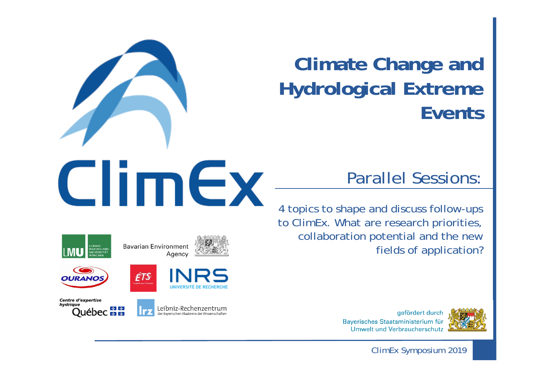## **Climate Change and Hydrological Extreme Events**

## Parallel Sessions:

4 topics to shape and discuss follow-ups to ClimEx. What are research priorities, collaboration potential and the new fields of application?







ClimEx Symposium 2019











**Bavarian Environment** Agency

ÉTS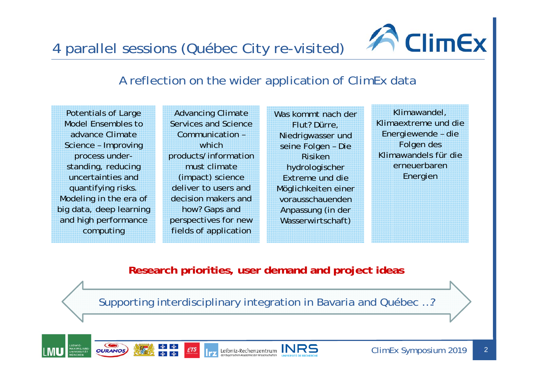4 parallel sessions (Québec City re-visited)



## A reflection on the wider application of ClimEx data

Potentials of Large Model Ensembles to advance Climate Science – Improving process understanding, reducing uncertainties and quantifying risks. Modeling in the era of big data, deep learning and high performance computing

Advancing Climate Services and Science Communication –which products/information must climate (impact) science deliver to users and decision makers and how? Gaps and perspectives for new fields of application

Was kommt nach der Flut? Dürre, Niedrigwasser und seine Folgen – Die Risiken hydrologischer Extreme und die Möglichkeiten einer vorausschauenden Anpassung (in der Wasserwirtschaft)

Klimawandel, Klimaextreme und die Energiewende – die Folgen des Klimawandels für die erneuerbaren Energien

**Research priorities, user demand and project ideas**

Supporting interdisciplinary integration in Bavaria and Québec …?

 $\sum_{\text{def Buyerischen} \text{Rechenzentrum}}\prod_{\text{our Buyerisrichen} \text{Akademie der Wissenschaften}}\prod_{\text{universstré per } \text{ReChiereric}}\prod_{\text{universstré per } \text{ReChiereric}}$ 





ClimEx Symposium 2019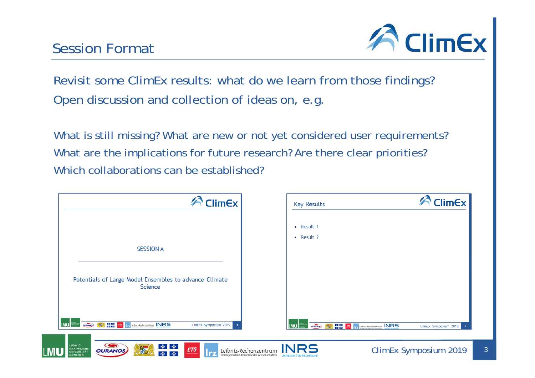

 $\lceil 3 \rceil$ 

Revisit some ClimEx results: what do we learn from those findings? Open discussion and collection of ideas on, e.g.

What is still missing? What are new or not yet considered user requirements? What are the implications for future research? Are there clear priorities? Which collaborations can be established?

| <b>ClimEx</b>                                                                                                                                         | <b>Key Results</b>                                    | $\curvearrowleft$ ClimEx                                                                |
|-------------------------------------------------------------------------------------------------------------------------------------------------------|-------------------------------------------------------|-----------------------------------------------------------------------------------------|
|                                                                                                                                                       | • Result 1                                            |                                                                                         |
| <b>SESSION A</b>                                                                                                                                      | • Result 2                                            |                                                                                         |
| Potentials of Large Model Ensembles to advance Climate<br>Science                                                                                     |                                                       |                                                                                         |
| OUR DE ES (75   Helbniz-Rechenzentrum INRS)<br>LMU <b>WELL</b><br>ClimEx Symposium 2019                                                               | LMU <b>HELL</b><br><b>OURANOS</b><br>■ 略<br>■ 略<br>蝶呤 | <sup>13</sup> Trz Leibniz-Rechenzentrum INRS<br>ClimEx Symposium 2019<br>$\overline{2}$ |
| $\bullet$<br>LUDWIG-<br>南南<br>Leibniz-Rechenzentrum $INRS$<br>ÉTS<br><b>MAXIMILIANS-</b><br><b>OURANOS</b><br>UNIVERSITÄT<br>l e v<br><b>SAN FORD</b> |                                                       | ClimEx Symposium 2019                                                                   |